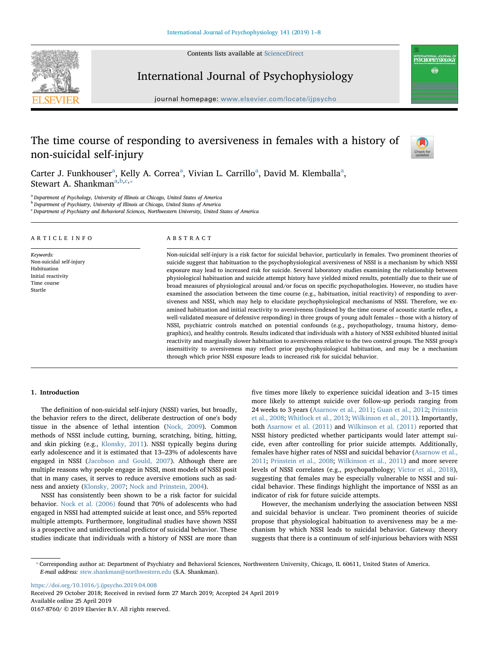Contents lists available at [ScienceDirect](http://www.sciencedirect.com/science/journal/01678760)



INTERNATIONAL JOURNAL O<br>**PSYCHOPHYSIOLOGY** 

# International Journal of Psychophysiology

journal homepage: [www.elsevier.com/locate/ijpsycho](https://www.elsevier.com/locate/ijpsycho)

# The time course of responding to aversiveness in females with a history of non-suicidal self-injury



6)

C[a](#page-0-0)rter J. Funkhouser<sup>a</sup>, Kelly A. Correa<sup>a</sup>, Vivian L. Carrillo<sup>a</sup>, David M. Klemballa<sup>a</sup>, Stew[a](#page-0-0)rt A. Shankman<sup>a[,b](#page-0-1)[,c,](#page-0-2) $*$ </sup>

<span id="page-0-0"></span><sup>a</sup> Department of Psychology, University of Illinois at Chicago, United States of America

<span id="page-0-1"></span>**b** Department of Psychiatry, University of Illinois at Chicago, United States of America

<span id="page-0-2"></span><sup>c</sup> Department of Psychiatry and Behavioral Sciences, Northwestern University, United States of America

#### ARTICLE INFO

Keywords: Non-suicidal self-injury Habituation Initial reactivity Time course Startle

# ABSTRACT

Non-suicidal self-injury is a risk factor for suicidal behavior, particularly in females. Two prominent theories of suicide suggest that habituation to the psychophysiological aversiveness of NSSI is a mechanism by which NSSI exposure may lead to increased risk for suicide. Several laboratory studies examining the relationship between physiological habituation and suicide attempt history have yielded mixed results, potentially due to their use of broad measures of physiological arousal and/or focus on specific psychopathologies. However, no studies have examined the association between the time course (e.g., habituation, initial reactivity) of responding to aversiveness and NSSI, which may help to elucidate psychophysiological mechanisms of NSSI. Therefore, we examined habituation and initial reactivity to aversiveness (indexed by the time course of acoustic startle reflex, a well-validated measure of defensive responding) in three groups of young adult females – those with a history of NSSI, psychiatric controls matched on potential confounds (e.g., psychopathology, trauma history, demographics), and healthy controls. Results indicated that individuals with a history of NSSI exhibited blunted initial reactivity and marginally slower habituation to aversiveness relative to the two control groups. The NSSI group's insensitivity to aversiveness may reflect prior psychophysiological habituation, and may be a mechanism through which prior NSSI exposure leads to increased risk for suicidal behavior.

# 1. Introduction

The definition of non-suicidal self-injury (NSSI) varies, but broadly, the behavior refers to the direct, deliberate destruction of one's body tissue in the absence of lethal intention ([Nock, 2009](#page-6-0)). Common methods of NSSI include cutting, burning, scratching, biting, hitting, and skin picking (e.g., [Klonsky, 2011](#page-6-1)). NSSI typically begins during early adolescence and it is estimated that 13–23% of adolescents have engaged in NSSI [\(Jacobson and Gould, 2007\)](#page-6-2). Although there are multiple reasons why people engage in NSSI, most models of NSSI posit that in many cases, it serves to reduce aversive emotions such as sadness and anxiety [\(Klonsky, 2007](#page-6-3); [Nock and Prinstein, 2004\)](#page-6-4).

NSSI has consistently been shown to be a risk factor for suicidal behavior. [Nock et al. \(2006\)](#page-6-5) found that 70% of adolescents who had engaged in NSSI had attempted suicide at least once, and 55% reported multiple attempts. Furthermore, longitudinal studies have shown NSSI is a prospective and unidirectional predictor of suicidal behavior. These studies indicate that individuals with a history of NSSI are more than

five times more likely to experience suicidal ideation and 3–15 times more likely to attempt suicide over follow-up periods ranging from 24 weeks to 3 years ([Asarnow et al., 2011;](#page-5-0) [Guan et al., 2012](#page-6-6); [Prinstein](#page-6-7) [et al., 2008](#page-6-7); [Whitlock et al., 2013](#page-7-0); [Wilkinson et al., 2011](#page-7-1)). Importantly, both [Asarnow et al. \(2011\)](#page-5-0) and [Wilkinson et al. \(2011\)](#page-7-1) reported that NSSI history predicted whether participants would later attempt suicide, even after controlling for prior suicide attempts. Additionally, females have higher rates of NSSI and suicidal behavior [\(Asarnow et al.,](#page-5-0) [2011;](#page-5-0) [Prinstein et al., 2008](#page-6-7); [Wilkinson et al., 2011\)](#page-7-1) and more severe levels of NSSI correlates (e.g., psychopathology; [Victor et al., 2018](#page-7-2)), suggesting that females may be especially vulnerable to NSSI and suicidal behavior. These findings highlight the importance of NSSI as an indicator of risk for future suicide attempts.

However, the mechanism underlying the association between NSSI and suicidal behavior is unclear. Two prominent theories of suicide propose that physiological habituation to aversiveness may be a mechanism by which NSSI leads to suicidal behavior. Gateway theory suggests that there is a continuum of self-injurious behaviors with NSSI

<https://doi.org/10.1016/j.ijpsycho.2019.04.008> Received 29 October 2018; Received in revised form 27 March 2019; Accepted 24 April 2019 Available online 25 April 2019

0167-8760/ © 2019 Elsevier B.V. All rights reserved.

<span id="page-0-3"></span><sup>⁎</sup> Corresponding author at: Department of Psychiatry and Behavioral Sciences, Northwestern University, Chicago, IL 60611, United States of America. E-mail address: [stew.shankman@northwestern.edu](mailto:stew.shankman@northwestern.edu) (S.A. Shankman).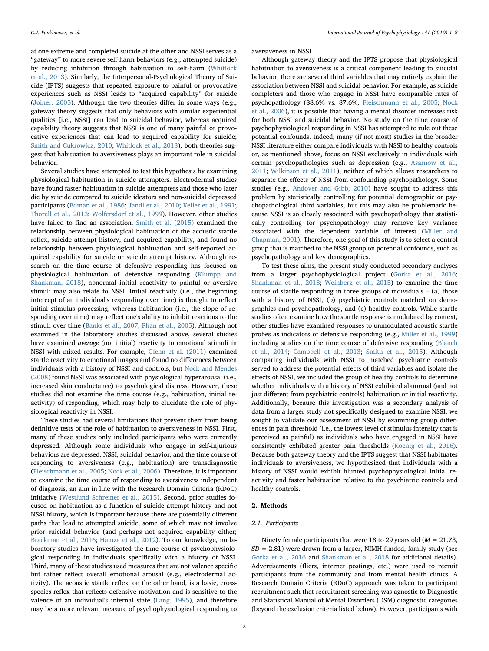at one extreme and completed suicide at the other and NSSI serves as a "gateway" to more severe self-harm behaviors (e.g., attempted suicide) by reducing inhibition through habituation to self-harm ([Whitlock](#page-7-0) [et al., 2013\)](#page-7-0). Similarly, the Interpersonal-Psychological Theory of Suicide (IPTS) suggests that repeated exposure to painful or provocative experiences such as NSSI leads to "acquired capability" for suicide ([Joiner, 2005\)](#page-6-8). Although the two theories differ in some ways (e.g., gateway theory suggests that only behaviors with similar experiential qualities [i.e., NSSI] can lead to suicidal behavior, whereas acquired capability theory suggests that NSSI is one of many painful or provocative experiences that can lead to acquired capability for suicide; [Smith and Cukrowicz, 2010;](#page-7-3) [Whitlock et al., 2013\)](#page-7-0), both theories suggest that habituation to aversiveness plays an important role in suicidal behavior.

Several studies have attempted to test this hypothesis by examining physiological habituation in suicide attempters. Electrodermal studies have found faster habituation in suicide attempters and those who later die by suicide compared to suicide ideators and non-suicidal depressed participants ([Edman et al., 1986;](#page-6-9) [Jandl et al., 2010](#page-6-10); [Keller et al., 1991](#page-6-11); [Thorell et al., 2013](#page-7-4); [Wolfersdorf et al., 1999\)](#page-7-5). However, other studies have failed to find an association. [Smith et al. \(2015\)](#page-7-6) examined the relationship between physiological habituation of the acoustic startle reflex, suicide attempt history, and acquired capability, and found no relationship between physiological habituation and self-reported acquired capability for suicide or suicide attempt history. Although research on the time course of defensive responding has focused on physiological habituation of defensive responding [\(Klumpp and](#page-6-12) [Shankman, 2018\)](#page-6-12), abnormal initial reactivity to painful or aversive stimuli may also relate to NSSI. Initial reactivity (i.e., the beginning intercept of an individual's responding over time) is thought to reflect initial stimulus processing, whereas habituation (i.e., the slope of responding over time) may reflect one's ability to inhibit reactions to the stimuli over time [\(Banks et al., 2007](#page-5-1); [Phan et al., 2005](#page-6-13)). Although not examined in the laboratory studies discussed above, several studies have examined average (not initial) reactivity to emotional stimuli in NSSI with mixed results. For example, [Glenn et al. \(2011\)](#page-6-14) examined startle reactivity to emotional images and found no differences between individuals with a history of NSSI and controls, but [Nock and Mendes](#page-6-15) [\(2008\)](#page-6-15) found NSSI was associated with physiological hyperarousal (i.e., increased skin conductance) to psychological distress. However, these studies did not examine the time course (e.g., habituation, initial reactivity) of responding, which may help to elucidate the role of physiological reactivity in NSSI.

These studies had several limitations that prevent them from being definitive tests of the role of habituation to aversiveness in NSSI. First, many of these studies only included participants who were currently depressed. Although some individuals who engage in self-injurious behaviors are depressed, NSSI, suicidal behavior, and the time course of responding to aversiveness (e.g., habituation) are transdiagnostic ([Fleischmann et al., 2005](#page-6-16); Nock [et al., 2006](#page-6-5)). Therefore, it is important to examine the time course of responding to aversiveness independent of diagnosis, an aim in line with the Research Domain Criteria (RDoC) initiative ([Westlund Schreiner et al., 2015](#page-7-7)). Second, prior studies focused on habituation as a function of suicide attempt history and not NSSI history, which is important because there are potentially different paths that lead to attempted suicide, some of which may not involve prior suicidal behavior (and perhaps not acquired capability either; [Brackman et al., 2016;](#page-5-2) [Hamza et al., 2012](#page-6-17)). To our knowledge, no laboratory studies have investigated the time course of psychophysiological responding in individuals specifically with a history of NSSI. Third, many of these studies used measures that are not valence specific but rather reflect overall emotional arousal (e.g., electrodermal activity). The acoustic startle reflex, on the other hand, is a basic, crossspecies reflex that reflects defensive motivation and is sensitive to the valence of an individual's internal state ([Lang, 1995\)](#page-6-18), and therefore may be a more relevant measure of psychophysiological responding to aversiveness in NSSI.

Although gateway theory and the IPTS propose that physiological habituation to aversiveness is a critical component leading to suicidal behavior, there are several third variables that may entirely explain the association between NSSI and suicidal behavior. For example, as suicide completers and those who engage in NSSI have comparable rates of psychopathology (88.6% vs. 87.6%, [Fleischmann et al., 2005](#page-6-16); [Nock](#page-6-5) [et al., 2006](#page-6-5)), it is possible that having a mental disorder increases risk for both NSSI and suicidal behavior. No study on the time course of psychophysiological responding in NSSI has attempted to rule out these potential confounds. Indeed, many (if not most) studies in the broader NSSI literature either compare individuals with NSSI to healthy controls or, as mentioned above, focus on NSSI exclusively in individuals with certain psychopathologies such as depression (e.g., [Asarnow et al.,](#page-5-0) [2011;](#page-5-0) [Wilkinson et al., 2011](#page-7-1)), neither of which allows researchers to separate the effects of NSSI from confounding psychopathology. Some studies (e.g., [Andover and Gibb, 2010](#page-5-3)) have sought to address this problem by statistically controlling for potential demographic or psychopathological third variables, but this may also be problematic because NSSI is so closely associated with psychopathology that statistically controlling for psychopathology may remove key variance associated with the dependent variable of interest ([Miller and](#page-6-19) [Chapman, 2001](#page-6-19)). Therefore, one goal of this study is to select a control group that is matched to the NSSI group on potential confounds, such as psychopathology and key demographics.

To test these aims, the present study conducted secondary analyses from a larger psychophysiological project [\(Gorka et al., 2016](#page-6-20); [Shankman et al., 2018;](#page-7-8) [Weinberg et al., 2015](#page-7-9)) to examine the time course of startle responding in three groups of individuals – (a) those with a history of NSSI, (b) psychiatric controls matched on demographics and psychopathology, and (c) healthy controls. While startle studies often examine how the startle response is modulated by context, other studies have examined responses to unmodulated acoustic startle probes as indicators of defensive responding (e.g., [Miller et al., 1999\)](#page-6-21) including studies on the time course of defensive responding ([Blanch](#page-5-4) [et al., 2014;](#page-5-4) [Campbell et al., 2013](#page-6-22); Smith [et al., 2015](#page-7-6)). Although comparing individuals with NSSI to matched psychiatric controls served to address the potential effects of third variables and isolate the effects of NSSI, we included the group of healthy controls to determine whether individuals with a history of NSSI exhibited abnormal (and not just different from psychiatric controls) habituation or initial reactivity. Additionally, because this investigation was a secondary analysis of data from a larger study not specifically designed to examine NSSI, we sought to validate our assessment of NSSI by examining group differences in pain threshold (i.e., the lowest level of stimulus intensity that is perceived as painful) as individuals who have engaged in NSSI have consistently exhibited greater pain thresholds ([Koenig et al., 2016](#page-6-23)). Because both gateway theory and the IPTS suggest that NSSI habituates individuals to aversiveness, we hypothesized that individuals with a history of NSSI would exhibit blunted psychophysiological initial reactivity and faster habituation relative to the psychiatric controls and healthy controls.

# 2. Methods

# 2.1. Participants

Ninety female participants that were 18 to 29 years old ( $M = 21.73$ ,  $SD = 2.81$ ) were drawn from a larger, NIMH-funded, family study (see [Gorka et al., 2016](#page-6-20) and [Shankman et al., 2018](#page-7-8) for additional details). Advertisements (fliers, internet postings, etc.) were used to recruit participants from the community and from mental health clinics. A Research Domain Criteria (RDoC) approach was taken to participant recruitment such that recruitment screening was agnostic to Diagnostic and Statistical Manual of Mental Disorders (DSM) diagnostic categories (beyond the exclusion criteria listed below). However, participants with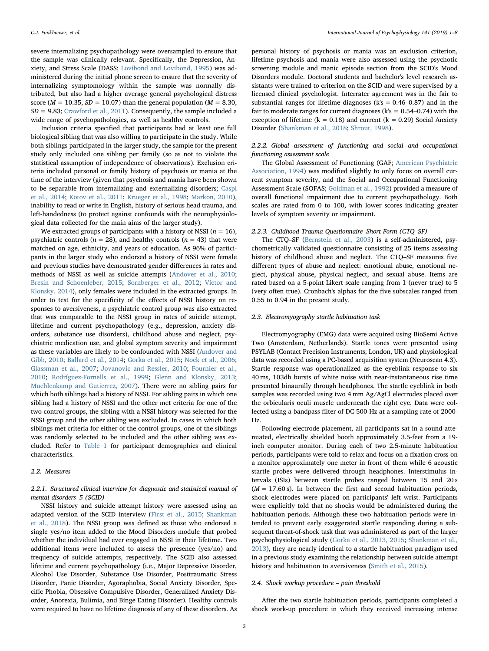severe internalizing psychopathology were oversampled to ensure that the sample was clinically relevant. Specifically, the Depression, Anxiety, and Stress Scale (DASS; [Lovibond and Lovibond, 1995](#page-6-24)) was administered during the initial phone screen to ensure that the severity of internalizing symptomology within the sample was normally distributed, but also had a higher average general psychological distress score ( $M = 10.35$ ,  $SD = 10.07$ ) than the general population ( $M = 8.30$ ,  $SD = 9.83$ ; [Crawford et al., 2011\)](#page-6-25). Consequently, the sample included a wide range of psychopathologies, as well as healthy controls.

Inclusion criteria specified that participants had at least one full biological sibling that was also willing to participate in the study. While both siblings participated in the larger study, the sample for the present study only included one sibling per family (so as not to violate the statistical assumption of independence of observations). Exclusion criteria included personal or family history of psychosis or mania at the time of the interview (given that psychosis and mania have been shown to be separable from internalizing and externalizing disorders; [Caspi](#page-6-26) [et al., 2014](#page-6-26); [Kotov et al., 2011;](#page-6-27) [Krueger et al., 1998;](#page-6-28) [Markon, 2010](#page-6-29)), inability to read or write in English, history of serious head trauma, and left-handedness (to protect against confounds with the neurophysiological data collected for the main aims of the larger study).

We extracted groups of participants with a history of NSSI ( $n = 16$ ), psychiatric controls ( $n = 28$ ), and healthy controls ( $n = 43$ ) that were matched on age, ethnicity, and years of education. As 96% of participants in the larger study who endorsed a history of NSSI were female and previous studies have demonstrated gender differences in rates and methods of NSSI as well as suicide attempts [\(Andover et al., 2010](#page-5-5); [Bresin and Schoenleber, 2015;](#page-6-30) [Sornberger et al., 2012;](#page-7-10) [Victor and](#page-7-11) [Klonsky, 2014](#page-7-11)), only females were included in the extracted groups. In order to test for the specificity of the effects of NSSI history on responses to aversiveness, a psychiatric control group was also extracted that was comparable to the NSSI group in rates of suicide attempt, lifetime and current psychopathology (e.g., depression, anxiety disorders, substance use disorders), childhood abuse and neglect, psychiatric medication use, and global symptom severity and impairment as these variables are likely to be confounded with NSSI [\(Andover and](#page-5-3) [Gibb, 2010](#page-5-3); [Ballard et al., 2014;](#page-5-6) [Gorka et al., 2015](#page-6-31); [Nock et al., 2006](#page-6-5); [Glassman et al., 2007;](#page-6-32) [Jovanovic and Ressler, 2010;](#page-6-33) [Fournier et al.,](#page-6-34) [2010;](#page-6-34) [Rodríguez-Fornells et al., 1999;](#page-6-35) [Glenn and Klonsky, 2013](#page-6-36); [Muehlenkamp and Gutierrez, 2007\)](#page-6-37). There were no sibling pairs for which both siblings had a history of NSSI. For sibling pairs in which one sibling had a history of NSSI and the other met criteria for one of the two control groups, the sibling with a NSSI history was selected for the NSSI group and the other sibling was excluded. In cases in which both siblings met criteria for either of the control groups, one of the siblings was randomly selected to be included and the other sibling was excluded. Refer to [Table 1](#page-3-0) for participant demographics and clinical characteristics.

#### 2.2. Measures

# 2.2.1. Structured clinical interview for diagnostic and statistical manual of mental disorders–5 (SCID)

NSSI history and suicide attempt history were assessed using an adapted version of the SCID interview [\(First et al., 2015](#page-6-38); [Shankman](#page-7-8) [et al., 2018](#page-7-8)). The NSSI group was defined as those who endorsed a single yes/no item added to the Mood Disorders module that probed whether the individual had ever engaged in NSSI in their lifetime. Two additional items were included to assess the presence (yes/no) and frequency of suicide attempts, respectively. The SCID also assessed lifetime and current psychopathology (i.e., Major Depressive Disorder, Alcohol Use Disorder, Substance Use Disorder, Posttraumatic Stress Disorder, Panic Disorder, Agoraphobia, Social Anxiety Disorder, Specific Phobia, Obsessive Compulsive Disorder, Generalized Anxiety Disorder, Anorexia, Bulimia, and Binge Eating Disorder). Healthy controls were required to have no lifetime diagnosis of any of these disorders. As

personal history of psychosis or mania was an exclusion criterion, lifetime psychosis and mania were also assessed using the psychotic screening module and manic episode section from the SCID's Mood Disorders module. Doctoral students and bachelor's level research assistants were trained to criterion on the SCID and were supervised by a licensed clinical psychologist. Interrater agreement was in the fair to substantial ranges for lifetime diagnoses ( $k's = 0.46-0.87$ ) and in the fair to moderate ranges for current diagnoses ( $k's = 0.54-0.74$ ) with the exception of lifetime ( $k = 0.18$ ) and current ( $k = 0.29$ ) Social Anxiety Disorder [\(Shankman et al., 2018;](#page-7-8) [Shrout, 1998\)](#page-7-12).

# 2.2.2. Global assessment of functioning and social and occupational functioning assessment scale

The Global Assessment of Functioning (GAF; [American Psychiatric](#page-5-7) [Association, 1994\)](#page-5-7) was modified slightly to only focus on overall current symptom severity, and the Social and Occupational Functioning Assessment Scale (SOFAS; [Goldman et al., 1992](#page-6-39)) provided a measure of overall functional impairment due to current psychopathology. Both scales are rated from 0 to 100, with lower scores indicating greater levels of symptom severity or impairment.

#### 2.2.3. Childhood Trauma Questionnaire–Short Form (CTQ–SF)

The CTQ–SF [\(Bernstein et al., 2003\)](#page-5-8) is a self-administered, psychometrically validated questionnaire consisting of 25 items assessing history of childhood abuse and neglect. The CTQ–SF measures five different types of abuse and neglect: emotional abuse, emotional neglect, physical abuse, physical neglect, and sexual abuse. Items are rated based on a 5-point Likert scale ranging from 1 (never true) to 5 (very often true). Cronbach's alphas for the five subscales ranged from 0.55 to 0.94 in the present study.

### 2.3. Electromyography startle habituation task

Electromyography (EMG) data were acquired using BioSemi Active Two (Amsterdam, Netherlands). Startle tones were presented using PSYLAB (Contact Precision Instruments; London, UK) and physiological data was recorded using a PC-based acquisition system (Neuroscan 4.3). Startle response was operationalized as the eyeblink response to six 40 ms, 103db bursts of white noise with near-instantaneous rise time presented binaurally through headphones. The startle eyeblink in both samples was recorded using two 4 mm Ag/AgCl electrodes placed over the orbicularis oculi muscle underneath the right eye. Data were collected using a bandpass filter of DC-500-Hz at a sampling rate of 2000- Hz.

Following electrode placement, all participants sat in a sound-attenuated, electrically shielded booth approximately 3.5-feet from a 19 inch computer monitor. During each of two 2.5-minute habituation periods, participants were told to relax and focus on a fixation cross on a monitor approximately one meter in front of them while 6 acoustic startle probes were delivered through headphones. Interstimulus intervals (ISIs) between startle probes ranged between 15 and 20 s  $(M = 17.60 \text{ s})$ . In between the first and second habituation periods, shock electrodes were placed on participants' left wrist. Participants were explicitly told that no shocks would be administered during the habituation periods. Although these two habituation periods were intended to prevent early exaggerated startle responding during a subsequent threat-of-shock task that was administered as part of the larger psychophysiological study [\(Gorka et al., 2013, 2015;](#page-6-40) [Shankman et al.,](#page-6-41) [2013\)](#page-6-41), they are nearly identical to a startle habituation paradigm used in a previous study examining the relationship between suicide attempt history and habituation to aversiveness [\(Smith et al., 2015](#page-7-6)).

#### 2.4. Shock workup procedure – pain threshold

After the two startle habituation periods, participants completed a shock work-up procedure in which they received increasing intense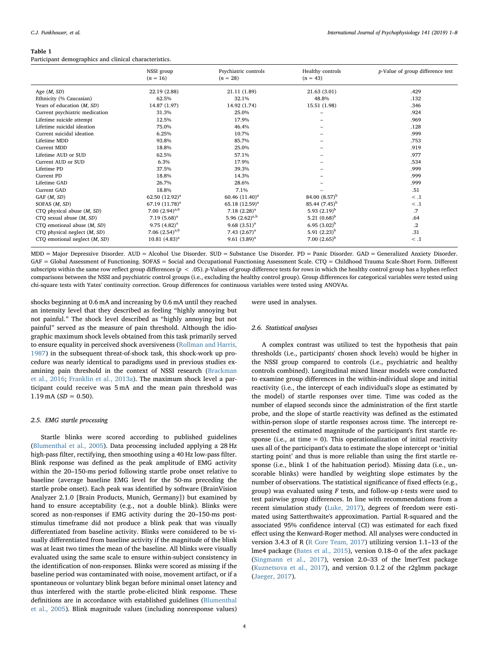#### C.J. Funkhouser, et al. *International Journal of Psychophysiology 141 (2019) 1–8*

#### <span id="page-3-0"></span>Table 1

Participant demographics and clinical characteristics.

|                                 | NSSI group<br>$(n = 16)$   | Psychiatric controls<br>$(n = 28)$ | Healthy controls<br>$(n = 43)$ | p-Value of group difference test |
|---------------------------------|----------------------------|------------------------------------|--------------------------------|----------------------------------|
| Age $(M, SD)$                   | 22.19 (2.88)               | 21.11 (1.89)                       | 21.63 (3.01)                   | .429                             |
| Ethnicity (% Caucasian)         | 62.5%                      | 32.1%                              | 48.8%                          | .132                             |
| Years of education $(M, SD)$    | 14.87 (1.97)               | 14.92 (1.74)                       | 15.51 (1.98)                   | .346                             |
| Current psychiatric medication  | 31.3%                      | 25.0%                              |                                | .924                             |
| Lifetime suicide attempt        | 12.5%                      | 17.9%                              |                                | .969                             |
| Lifetime suicidal ideation      | 75.0%                      | 46.4%                              |                                | .128                             |
| Current suicidal ideation       | 6.25%                      | 10.7%                              |                                | .999                             |
| Lifetime MDD                    | 93.8%                      | 85.7%                              |                                | .753                             |
| Current MDD                     | 18.8%                      | 25.0%                              |                                | .919                             |
| Lifetime AUD or SUD             | 62.5%                      | 57.1%                              |                                | .977                             |
| Current AUD or SUD              | 6.3%                       | 17.9%                              |                                | .534                             |
| Lifetime PD                     | 37.5%                      | 39.3%                              |                                | .999                             |
| Current PD                      | 18.8%                      | 14.3%                              |                                | .999                             |
| Lifetime GAD                    | 26.7%                      | 28.6%                              |                                | .999                             |
| Current GAD                     | 18.8%                      | 7.1%                               |                                | .51                              |
| GAF(M, SD)                      | 62.50 $(12.92)^a$          | 60.46 $(11.40)^a$                  | 84.00 (8.57) <sup>b</sup>      | < .1                             |
| SOFAS (M, SD)                   | 67.19 (11.78) <sup>a</sup> | 65.18 $(12.59)^a$                  | 85.44 (7.45) <sup>b</sup>      | < 0.1                            |
| CTQ physical abuse $(M, SD)$    | 7.00 $(2.94)^{a,b}$        | 7.18 $(2.28)^a$                    | 5.93 $(2.19)^{b}$              | .7                               |
| CTO sexual abuse $(M, SD)$      | $7.19~(5.68)^a$            | 5.96 $(2.62)^{a,b}$                | 5.21 $(0.68)^{b}$              | .64                              |
| CTO emotional abuse $(M, SD)$   | 9.75 $(4.82)^a$            | 9.68 $(3.51)^a$                    | 6.95 $(3.02)^{b}$              | .2                               |
| CTQ physical neglect (M, SD)    | 7.06 $(2.54)^{a,b}$        | 7.43 $(2.67)^a$                    | 5.91 $(2.23)^{b}$              | .31                              |
| CTO emotional neglect $(M, SD)$ | $10.81(4.83)^{a}$          | 9.61 $(3.89)^a$                    | 7.00 $(2.65)^{b}$              | < 0.1                            |

MDD = Major Depressive Disorder. AUD = Alcohol Use Disorder. SUD = Substance Use Disorder. PD = Panic Disorder. GAD = Generalized Anxiety Disorder. GAF = Global Assessment of Functioning. SOFAS = Social and Occupational Functioning Assessment Scale. CTQ = Childhood Trauma Scale-Short Form. Different subscripts within the same row reflect group differences  $(p < .05)$ . p-Values of group difference tests for rows in which the healthy control group has a hyphen reflect comparisons between the NSSI and psychiatric control groups (i.e., excluding the healthy control group). Group differences for categorical variables were tested using chi-square tests with Yates' continuity correction. Group differences for continuous variables were tested using ANOVAs.

shocks beginning at 0.6 mA and increasing by 0.6 mA until they reached an intensity level that they described as feeling "highly annoying but not painful." The shock level described as "highly annoying but not painful" served as the measure of pain threshold. Although the idiographic maximum shock levels obtained from this task primarily served to ensure equality in perceived shock aversiveness [\(Rollman and Harris,](#page-6-42) [1987\)](#page-6-42) in the subsequent threat-of-shock task, this shock-work up procedure was nearly identical to paradigms used in previous studies examining pain threshold in the context of NSSI research [\(Brackman](#page-5-2) [et al., 2016;](#page-5-2) [Franklin et al., 2013a](#page-6-43)). The maximum shock level a participant could receive was 5 mA and the mean pain threshold was  $1.19 \text{ mA}$  (SD = 0.50).

#### 2.5. EMG startle processing

Startle blinks were scored according to published guidelines ([Blumenthal et al., 2005](#page-5-9)). Data processing included applying a 28 Hz high-pass filter, rectifying, then smoothing using a 40 Hz low-pass filter. Blink response was defined as the peak amplitude of EMG activity within the 20–150-ms period following startle probe onset relative to baseline (average baseline EMG level for the 50-ms preceding the startle probe onset). Each peak was identified by software (BrainVision Analyzer 2.1.0 [Brain Products, Munich, Germany]) but examined by hand to ensure acceptability (e.g., not a double blink). Blinks were scored as non-responses if EMG activity during the 20–150-ms poststimulus timeframe did not produce a blink peak that was visually differentiated from baseline activity. Blinks were considered to be visually differentiated from baseline activity if the magnitude of the blink was at least two times the mean of the baseline. All blinks were visually evaluated using the same scale to ensure within-subject consistency in the identification of non-responses. Blinks were scored as missing if the baseline period was contaminated with noise, movement artifact, or if a spontaneous or voluntary blink began before minimal onset latency and thus interfered with the startle probe-elicited blink response. These definitions are in accordance with established guidelines [\(Blumenthal](#page-5-9) [et al., 2005\)](#page-5-9). Blink magnitude values (including nonresponse values)

were used in analyses.

# 2.6. Statistical analyses

A complex contrast was utilized to test the hypothesis that pain thresholds (i.e., participants' chosen shock levels) would be higher in the NSSI group compared to controls (i.e., psychiatric and healthy controls combined). Longitudinal mixed linear models were conducted to examine group differences in the within-individual slope and initial reactivity (i.e., the intercept of each individual's slope as estimated by the model) of startle responses over time. Time was coded as the number of elapsed seconds since the administration of the first startle probe, and the slope of startle reactivity was defined as the estimated within-person slope of startle responses across time. The intercept represented the estimated magnitude of the participant's first startle response (i.e., at time  $= 0$ ). This operationalization of initial reactivity uses all of the participant's data to estimate the slope intercept or 'initial starting point' and thus is more reliable than using the first startle response (i.e., blink 1 of the habituation period). Missing data (i.e., unscorable blinks) were handled by weighting slope estimates by the number of observations. The statistical significance of fixed effects (e.g., group) was evaluated using  $F$  tests, and follow-up t-tests were used to test pairwise group differences. In line with recommendations from a recent simulation study ([Luke, 2017\)](#page-6-44), degrees of freedom were estimated using Satterthwaite's approximation. Partial R-squared and the associated 95% confidence interval (CI) was estimated for each fixed effect using the Kenward-Roger method. All analyses were conducted in version 3.4.3 of R ([R Core Team, 2017\)](#page-6-45) utilizing version 1.1–13 of the lme4 package [\(Bates et al., 2015](#page-5-10)), version 0.18–0 of the afex package ([Singmann et al., 2017](#page-7-13)), version 2.0–33 of the lmerTest package ([Kuznetsova et al., 2017](#page-6-46)), and version 0.1.2 of the r2glmm package ([Jaeger, 2017](#page-6-47)).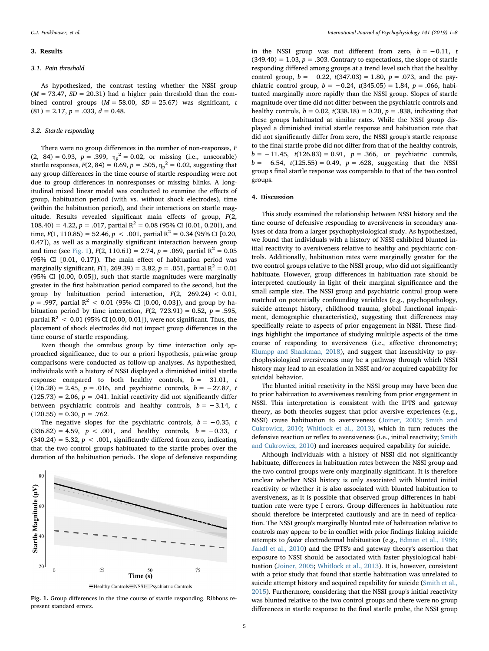#### 3. Results

#### 3.1. Pain threshold

As hypothesized, the contrast testing whether the NSSI group  $(M = 73.47, SD = 20.31)$  had a higher pain threshold than the combined control groups  $(M = 58.00, SD = 25.67)$  was significant, t  $(81) = 2.17, p = .033, d = 0.48.$ 

#### 3.2. Startle responding

There were no group differences in the number of non-responses, F  $(2, 84) = 0.93, p = .399, \eta_p^2 = 0.02, \text{ or missing (i.e., unscorable)}$ startle responses,  $F(2, 84) = 0.69, p = .505, \eta_p^2 = 0.02$ , suggesting that any group differences in the time course of startle responding were not due to group differences in nonresponses or missing blinks. A longitudinal mixed linear model was conducted to examine the effects of group, habituation period (with vs. without shock electrodes), time (within the habituation period), and their interactions on startle magnitude. Results revealed significant main effects of group, F(2, 108.40) = 4.22,  $p = .017$ , partial R<sup>2</sup> = 0.08 (95% CI [0.01, 0.20]), and time,  $F(1, 110.85) = 52.46$ ,  $p < .001$ , partial  $R^2 = 0.34$  (95% CI [0.20, 0.47]), as well as a marginally significant interaction between group and time (see [Fig. 1](#page-4-0)),  $F(2, 110.61) = 2.74$ ,  $p = .069$ , partial  $R^2 = 0.05$ (95% CI [0.01, 0.17]). The main effect of habituation period was marginally significant,  $F(1, 269.39) = 3.82$ ,  $p = .051$ , partial  $R^2 = 0.01$ (95% CI [0.00, 0.05]), such that startle magnitudes were marginally greater in the first habituation period compared to the second, but the group by habituation period interaction,  $F(2, 269.24) < 0.01$ ,  $p = .997$ , partial R<sup>2</sup> < 0.01 (95% CI [0.00, 0.03]), and group by habituation period by time interaction,  $F(2, 723.91) = 0.52$ ,  $p = .595$ , partial  $R^2 < 0.01$  (95% CI [0.00, 0.01]), were not significant. Thus, the placement of shock electrodes did not impact group differences in the time course of startle responding.

Even though the omnibus group by time interaction only approached significance, due to our a priori hypothesis, pairwise group comparisons were conducted as follow-up analyses. As hypothesized, individuals with a history of NSSI displayed a diminished initial startle response compared to both healthy controls,  $b = -31.01$ , t  $(126.28) = 2.45$ ,  $p = .016$ , and psychiatric controls,  $b = -27.87$ , t  $(125.73) = 2.06$ ,  $p = .041$ . Initial reactivity did not significantly differ between psychiatric controls and healthy controls,  $b = -3.14$ , t  $(120.55) = 0.30, p = .762.$ 

The negative slopes for the psychiatric controls,  $b = -0.35$ , t  $(336.82) = 4.59$ ,  $p < .001$ , and healthy controls,  $b = -0.33$ , t  $(340.24) = 5.32, p < .001$ , significantly differed from zero, indicating that the two control groups habituated to the startle probes over the duration of the habituation periods. The slope of defensive responding

<span id="page-4-0"></span>



Fig. 1. Group differences in the time course of startle responding. Ribbons represent standard errors.

in the NSSI group was not different from zero,  $b = -0.11$ , t  $(349.40) = 1.03, p = .303$ . Contrary to expectations, the slope of startle responding differed among groups at a trend level such that the healthy control group,  $b = -0.22$ ,  $t(347.03) = 1.80$ ,  $p = .073$ , and the psychiatric control group,  $b = -0.24$ ,  $t(345.05) = 1.84$ ,  $p = .066$ , habituated marginally more rapidly than the NSSI group. Slopes of startle magnitude over time did not differ between the psychiatric controls and healthy controls,  $b = 0.02$ ,  $t(338.18) = 0.20$ ,  $p = .838$ , indicating that these groups habituated at similar rates. While the NSSI group displayed a diminished initial startle response and habituation rate that did not significantly differ from zero, the NSSI group's startle response to the final startle probe did not differ from that of the healthy controls,  $b = -11.45$ ,  $t(126.83) = 0.91$ ,  $p = .366$ , or psychiatric controls,  $b = -6.54$ ,  $t(125.55) = 0.49$ ,  $p = .628$ , suggesting that the NSSI group's final startle response was comparable to that of the two control groups.

# 4. Discussion

This study examined the relationship between NSSI history and the time course of defensive responding to aversiveness in secondary analyses of data from a larger psychophysiological study. As hypothesized, we found that individuals with a history of NSSI exhibited blunted initial reactivity to aversiveness relative to healthy and psychiatric controls. Additionally, habituation rates were marginally greater for the two control groups relative to the NSSI group, who did not significantly habituate. However, group differences in habituation rate should be interpreted cautiously in light of their marginal significance and the small sample size. The NSSI group and psychiatric control group were matched on potentially confounding variables (e.g., psychopathology, suicide attempt history, childhood trauma, global functional impairment, demographic characteristics), suggesting that differences may specifically relate to aspects of prior engagement in NSSI. These findings highlight the importance of studying multiple aspects of the time course of responding to aversiveness (i.e., affective chronometry; [Klumpp and Shankman, 2018\)](#page-6-12), and suggest that insensitivity to psychophysiological aversiveness may be a pathway through which NSSI history may lead to an escalation in NSSI and/or acquired capability for suicidal behavior.

The blunted initial reactivity in the NSSI group may have been due to prior habituation to aversiveness resulting from prior engagement in NSSI. This interpretation is consistent with the IPTS and gateway theory, as both theories suggest that prior aversive experiences (e.g., NSSI) cause habituation to aversiveness ([Joiner, 2005;](#page-6-8) [Smith and](#page-7-3) [Cukrowicz, 2010;](#page-7-3) [Whitlock et al., 2013](#page-7-0)), which in turn reduces the defensive reaction or reflex to aversiveness (i.e., initial reactivity; [Smith](#page-7-3) [and Cukrowicz, 2010](#page-7-3)) and increases acquired capability for suicide.

Although individuals with a history of NSSI did not significantly habituate, differences in habituation rates between the NSSI group and the two control groups were only marginally significant. It is therefore unclear whether NSSI history is only associated with blunted initial reactivity or whether it is also associated with blunted habituation to aversiveness, as it is possible that observed group differences in habituation rate were type I errors. Group differences in habituation rate should therefore be interpreted cautiously and are in need of replication. The NSSI group's marginally blunted rate of habituation relative to controls may appear to be in conflict with prior findings linking suicide attempts to faster electrodermal habituation (e.g., [Edman et al., 1986](#page-6-9); [Jandl et al., 2010](#page-6-10)) and the IPTS's and gateway theory's assertion that exposure to NSSI should be associated with faster physiological habituation [\(Joiner, 2005](#page-6-8); [Whitlock et al., 2013\)](#page-7-0). It is, however, consistent with a prior study that found that startle habituation was unrelated to suicide attempt history and acquired capability for suicide ([Smith et al.,](#page-7-6) [2015\)](#page-7-6). Furthermore, considering that the NSSI group's initial reactivity was blunted relative to the two control groups and there were no group differences in startle response to the final startle probe, the NSSI group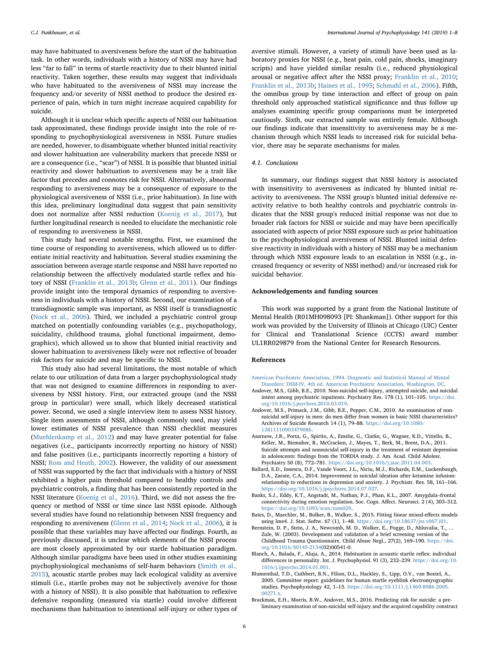may have habituated to aversiveness before the start of the habituation task. In other words, individuals with a history of NSSI may have had less "far to fall" in terms of startle reactivity due to their blunted initial reactivity. Taken together, these results may suggest that individuals who have habituated to the aversiveness of NSSI may increase the frequency and/or severity of NSSI method to produce the desired experience of pain, which in turn might increase acquired capability for suicide.

Although it is unclear which specific aspects of NSSI our habituation task approximated, these findings provide insight into the role of responding to psychophysiological aversiveness in NSSI. Future studies are needed, however, to disambiguate whether blunted initial reactivity and slower habituation are vulnerability markers that precede NSSI or are a consequence (i.e., "scar") of NSSI. It is possible that blunted initial reactivity and slower habituation to aversiveness may be a trait like factor that precedes and connotes risk for NSSI. Alternatively, abnormal responding to aversiveness may be a consequence of exposure to the physiological aversiveness of NSSI (i.e., prior habituation). In line with this idea, preliminary longitudinal data suggest that pain sensitivity does not normalize after NSSI reduction [\(Koenig et al., 2017\)](#page-6-48), but further longitudinal research is needed to elucidate the mechanistic role of responding to aversiveness in NSSI.

This study had several notable strengths. First, we examined the time course of responding to aversiveness, which allowed us to differentiate initial reactivity and habituation. Several studies examining the association between average startle response and NSSI have reported no relationship between the affectively modulated startle reflex and history of NSSI [\(Franklin et al., 2013b;](#page-6-49) [Glenn et al., 2011\)](#page-6-14). Our findings provide insight into the temporal dynamics of responding to aversiveness in individuals with a history of NSSI. Second, our examination of a transdiagnostic sample was important, as NSSI itself is transdiagnostic ([Nock et al., 2006\)](#page-6-5). Third, we included a psychiatric control group matched on potentially confounding variables (e.g., psychopathology, suicidality, childhood trauma, global functional impairment, demographics), which allowed us to show that blunted initial reactivity and slower habituation to aversiveness likely were not reflective of broader risk factors for suicide and may be specific to NSSI.

This study also had several limitations, the most notable of which relate to our utilization of data from a larger psychophysiological study that was not designed to examine differences in responding to aversiveness by NSSI history. First, our extracted groups (and the NSSI group in particular) were small, which likely decreased statistical power. Second, we used a single interview item to assess NSSI history. Single item assessments of NSSI, although commonly used, may yield lower estimates of NSSI prevalence than NSSI checklist measures ([Muehlenkamp et al., 2012\)](#page-6-50) and may have greater potential for false negatives (i.e., participants incorrectly reporting no history of NSSI) and false positives (i.e., participants incorrectly reporting a history of NSSI; [Ross and Heath, 2002\)](#page-6-51). However, the validity of our assessment of NSSI was supported by the fact that individuals with a history of NSSI exhibited a higher pain threshold compared to healthy controls and psychiatric controls, a finding that has been consistently reported in the NSSI literature ([Koenig et al., 2016](#page-6-23)). Third, we did not assess the frequency or method of NSSI or time since last NSSI episode. Although several studies have found no relationship between NSSI frequency and responding to aversiveness [\(Glenn et al., 2014;](#page-6-52) [Nock et al., 2006\)](#page-6-5), it is possible that these variables may have affected our findings. Fourth, as previously discussed, it is unclear which elements of the NSSI process are most closely approximated by our startle habituation paradigm. Although similar paradigms have been used in other studies examining psychophysiological mechanisms of self-harm behaviors [\(Smith et al.,](#page-7-6) [2015\)](#page-7-6), acoustic startle probes may lack ecological validity as aversive stimuli (i.e., startle probes may not be subjectively aversive for those with a history of NSSI). It is also possible that habituation to reflexive defensive responding (measured via startle) could involve different mechanisms than habituation to intentional self-injury or other types of

aversive stimuli. However, a variety of stimuli have been used as laboratory proxies for NSSI (e.g., heat pain, cold pain, shocks, imaginary scripts) and have yielded similar results (i.e., reduced physiological arousal or negative affect after the NSSI proxy; [Franklin et al., 2010](#page-6-53); [Franklin et al., 2013b](#page-6-49); [Haines et al., 1995](#page-6-54); [Schmahl et al., 2006](#page-6-55)). Fifth, the omnibus group by time interaction and effect of group on pain threshold only approached statistical significance and thus follow up analyses examining specific group comparisons must be interpreted cautiously. Sixth, our extracted sample was entirely female. Although our findings indicate that insensitivity to aversiveness may be a mechanism through which NSSI leads to increased risk for suicidal behavior, there may be separate mechanisms for males.

# 4.1. Conclusions

In summary, our findings suggest that NSSI history is associated with insensitivity to aversiveness as indicated by blunted initial reactivity to aversiveness. The NSSI group's blunted initial defensive reactivity relative to both healthy controls and psychiatric controls indicates that the NSSI group's reduced initial response was not due to broader risk factors for NSSI or suicide and may have been specifically associated with aspects of prior NSSI exposure such as prior habituation to the psychophysiological aversiveness of NSSI. Blunted initial defensive reactivity in individuals with a history of NSSI may be a mechanism through which NSSI exposure leads to an escalation in NSSI (e.g., increased frequency or severity of NSSI method) and/or increased risk for suicidal behavior.

# Acknowledgements and funding sources

This work was supported by a grant from the National Institute of Mental Health (R01MH098093 [PI: Shankman]). Other support for this work was provided by the University of Illinois at Chicago (UIC) Center for Clinical and Translational Science (CCTS) award number UL1RR029879 from the National Center for Research Resources.

#### References

- <span id="page-5-7"></span>[American Psychiatric Association, 1994. Diagnostic and Statistical Manual of Mental](http://refhub.elsevier.com/S0167-8760(18)31048-1/rf0005) [Disorders: DSM-IV, 4th ed. American Psychiatric Association, Washington, DC](http://refhub.elsevier.com/S0167-8760(18)31048-1/rf0005).
- <span id="page-5-3"></span>Andover, M.S., Gibb, B.E., 2010. Non-suicidal self-injury, attempted suicide, and suicidal intent among psychiatric inpatients. Psychiatry Res. 178 (1), 101–105. [https://doi.](https://doi.org/10.1016/j.psychres.2010.03.019) [org/10.1016/j.psychres.2010.03.019.](https://doi.org/10.1016/j.psychres.2010.03.019)
- <span id="page-5-5"></span>Andover, M.S., Primack, J.M., Gibb, B.E., Pepper, C.M., 2010. An examination of nonsuicidal self-injury in men: do men differ from women in basic NSSI characteristics? Archives of Suicide Research 14 (1), 79–88. [https://doi.org/10.1080/](https://doi.org/10.1080/13811110903479086) [13811110903479086.](https://doi.org/10.1080/13811110903479086)
- <span id="page-5-0"></span>Asarnow, J.R., Porta, G., Spirito, A., Emslie, G., Clarke, G., Wagner, K.D., Vitiello, B., Keller, M., Birmaher, B., McCracken, J., Mayes, T., Berk, M., Brent, D.A., 2011. Suicide attempts and nonsuicidal self-injury in the treatment of resistant depression in adolescents: findings from the TORDIA study. J. Am. Acad. Child Adolesc. Psychiatry 50 (8), 772–781. [https://doi.org/10.1016/j.jaac.2011.04.003.](https://doi.org/10.1016/j.jaac.2011.04.003)
- <span id="page-5-6"></span>Ballard, E.D., Ionescu, D.F., Vande Voort, J.L., Niciu, M.J., Richards, E.M., Luckenbaugh, D.A., Zarate, C.A., 2014. Improvement in suicidal ideation after ketamine infusion: relationship to reductions in depression and anxiety. J. Psychiatr. Res. 58, 161–166. [https://doi.org/10.1016/j.jpsychires.2014.07.027.](https://doi.org/10.1016/j.jpsychires.2014.07.027)
- <span id="page-5-1"></span>Banks, S.J., Eddy, K.T., Angstadt, M., Nathan, P.J., Phan, K.L., 2007. Amygdala–frontal connectivity during emotion regulation. Soc. Cogn. Affect. Neurosci. 2 (4), 303–312. <https://doi.org/10.1093/scan/nsm029>.
- <span id="page-5-10"></span>Bates, D., Maechler, M., Bolker, B., Walker, S., 2015. Fitting linear mixed-effects models using lme4. J. Stat. Softw. 67 (1), 1–48. <https://doi.org/10.18637/jss.v067.i01>.
- <span id="page-5-8"></span>Bernstein, D. P., Stein, J. A., Newcomb, M. D., Walker, E., Pogge, D., Ahluvalia, T., … Zule, W. (2003). Development and validation of a brief screening version of the Childhood Trauma Questionnaire. Child Abuse Negl., 27(2), 169–190. [https://doi.](https://doi.org/10.1016/S0145-2134) [org/10.1016/S0145-2134\(](https://doi.org/10.1016/S0145-2134)02)00541-0.
- <span id="page-5-4"></span>Blanch, A., Balada, F., Aluja, A., 2014. Habituation in acoustic startle reflex: individual differences in personality. Int. J. Psychophysiol. 91 (3), 232–239. [https://doi.org/10.](https://doi.org/10.1016/j.ijpsycho.2014.01.001) [1016/j.ijpsycho.2014.01.001.](https://doi.org/10.1016/j.ijpsycho.2014.01.001)
- <span id="page-5-9"></span>Blumenthal, T.D., Cuthbert, B.N., Filion, D.L., Hackley, S., Lipp, O.V., van Boxtel, A., 2005. Committee report: guidelines for human startle eyeblink electromyographic studies. Psychophysiology 42, 1–15. [https://doi.org/10.1111/j.1469-8986.2005.](https://doi.org/10.1111/j.1469-8986.2005.00271.x) [00271.x.](https://doi.org/10.1111/j.1469-8986.2005.00271.x)
- <span id="page-5-2"></span>Brackman, E.H., Morris, B.W., Andover, M.S., 2016. Predicting risk for suicide: a preliminary examination of non-suicidal self-injury and the acquired capability construct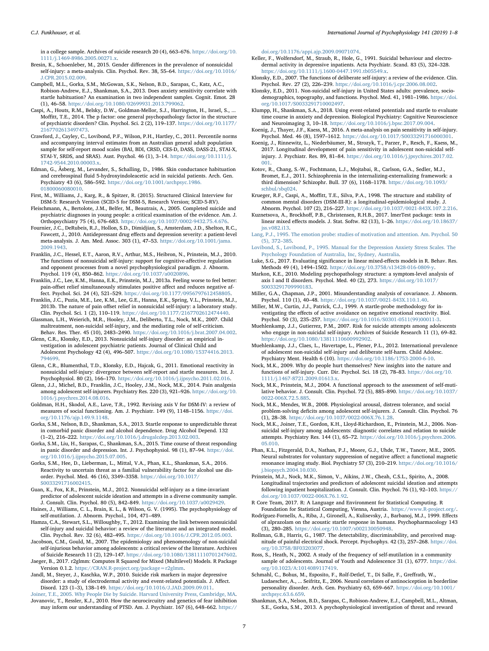C.J. Funkhouser, et al. *International Journal of Psychophysiology 141 (2019) 1–8*

in a college sample. Archives of suicide research 20 (4), 663–676. [https://doi.org/10.](https://doi.org/10.1111/j.1469-8986.2005.00271.x) [1111/j.1469-8986.2005.00271.x](https://doi.org/10.1111/j.1469-8986.2005.00271.x).

- <span id="page-6-30"></span>Bresin, K., Schoenleber, M., 2015. Gender differences in the prevalence of nonsuicidal self-injury: a meta-analysis. Clin. Psychol. Rev. 38, 55–64. [https://doi.org/10.1016/](https://doi.org/10.1016/J.CPR.2015.02.009) [J.CPR.2015.02.009.](https://doi.org/10.1016/J.CPR.2015.02.009)
- <span id="page-6-22"></span>Campbell, M.L., Gorka, S.M., McGowan, S.K., Nelson, B.D., Sarapas, C., Katz, A.C., Robison-Andrew, E.J., Shankman, S.A., 2013. Does anxiety sensitivity correlate with startle habituation? An examination in two independent samples. Cognit. Emot. 28 (1), 46–58. <https://doi.org/10.1080/02699931.2013.799062>.
- <span id="page-6-26"></span>Caspi, A., Houts, R.M., Belsky, D.W., Goldman-Mellor, S.J., Harrington, H., Israel, S., ... Moffitt, T.E., 2014. The p factor: one general psychopathology factor in the structure of psychiatric disorders? Clin. Psychol. Sci. 2 (2), 119–137. [https://doi.org/10.1177/](https://doi.org/10.1177/2167702613497473) [2167702613497473.](https://doi.org/10.1177/2167702613497473)
- <span id="page-6-25"></span>Crawford, J., Cayley, C., Lovibond, P.F., Wilson, P.H., Hartley, C., 2011. Percentile norms and accompanying interval estimates from an Australian general adult population sample for self-report mood scales (BAI, BDI, CRSD, CES-D, DASS, DASS-21, STAI-X, STAI-Y, SRDS, and SRAS). Aust. Psychol. 46 (1), 3–14. [https://doi.org/10.1111/j.](https://doi.org/10.1111/j.1742-9544.2010.00003.x) [1742-9544.2010.00003.x](https://doi.org/10.1111/j.1742-9544.2010.00003.x).
- <span id="page-6-9"></span>Edman, G., Åsberg, M., Levander, S., Schalling, D., 1986. Skin conductance habituation and cerebrospinal fluid 5‑hydroxyindoleacetic acid in suicidal patients. Arch. Gen. Psychiatry 43 (6), 586–592. [https://doi.org/10.1001/archpsyc.1986.](https://doi.org/10.1001/archpsyc.1986.01800060080010) [01800060080010.](https://doi.org/10.1001/archpsyc.1986.01800060080010)
- <span id="page-6-38"></span>First, M., Williams, J., Karg, R., & Spitzer, R. (2015). Structured Clinical Interview for DSM-5: Research Version (SCID-5 for DSM-5, Research Version; SCID-5-RV).
- <span id="page-6-16"></span>Fleischmann, A., Bertolote, J.M., Belfer, M., Beautrais, A., 2005. Completed suicide and psychiatric diagnoses in young people: a critical examination of the evidence. Am. J. Orthopsychiatry 75 (4), 676–683. <https://doi.org/10.1037/0002-9432.75.4.676>.
- <span id="page-6-34"></span>Fournier, J.C., DeRubeis, R.J., Hollon, S.D., Dimidjian, S., Amsterdam, J.D., Shelton, R.C., Fawcett, J., 2010. Antidepressant drug effects and depression severity: a patient-level meta-analysis. J. Am. Med. Assoc. 303 (1), 47–53. [https://doi.org/10.1001/jama.](https://doi.org/10.1001/jama.2009.1943) [2009.1943](https://doi.org/10.1001/jama.2009.1943).
- <span id="page-6-53"></span>Franklin, J.C., Hessel, E.T., Aaron, R.V., Arthur, M.S., Heibron, N., Prinstein, M.J., 2010. The functions of nonsuicidal self-injury: support for cognitive-affective regulation and opponent processes from a novel psychophysiological paradigm. J. Abnorm. Psychol. 119 (4), 850–862. <https://doi.org/10.1037/a0020896>.
- <span id="page-6-43"></span>Franklin, J.C., Lee, K.M., Hanna, E.K., Prinstein, M.J., 2013a. Feeling worse to feel better: pain-offset relief simultaneously stimulates positive affect and reduces negative affect. Psychol. Sci. 24 (4), 521–529. [https://doi.org/10.1177/0956797612458805.](https://doi.org/10.1177/0956797612458805)
- <span id="page-6-49"></span>Franklin, J.C., Puzia, M.E., Lee, K.M., Lee, G.E., Hanna, E.K., Spring, V.L., Prinstein, M.J., 2013b. The nature of pain offset relief in nonsuicidal self-injury: a laboratory study. Clin. Psychol. Sci. 1 (2), 110–119. <https://doi.org/10.1177/2167702612474440>.
- <span id="page-6-32"></span>Glassman, L.H., Weierich, M.R., Hooley, J.M., Deliberto, T.L., Nock, M.K., 2007. Child maltreatment, non-suicidal self-injury, and the mediating role of self-criticism. Behav. Res. Ther. 45 (10), 2483–2490. [https://doi.org/10.1016/j.brat.2007.04.002.](https://doi.org/10.1016/j.brat.2007.04.002)
- <span id="page-6-36"></span>Glenn, C.R., Klonsky, E.D., 2013. Nonsuicidal self-injury disorder: an empirical investigation in adolescent psychiatric patients. Journal of Clinical Child and Adolescent Psychology 42 (4), 496–507. [https://doi.org/10.1080/15374416.2013.](https://doi.org/10.1080/15374416.2013.794699) [794699](https://doi.org/10.1080/15374416.2013.794699).
- <span id="page-6-14"></span>Glenn, C.R., Blumenthal, T.D., Klonsky, E.D., Hajcak, G., 2011. Emotional reactivity in nonsuicidal self-injury: divergence between self-report and startle measures. Int. J.
- <span id="page-6-52"></span>Psychophysiol. 80 (2), 166–170. <https://doi.org/10.1016/j.ijpsycho.2011.02.016>. Glenn, J.J., Michel, B.D., Franklin, J.C., Hooley, J.M., Nock, M.K., 2014. Pain analgesia among adolescent self-injurers. Psychiatry Res. 220 (3), 921–926. [https://doi.org/10.](https://doi.org/10.1016/j.psychres.2014.08.016) [1016/j.psychres.2014.08.016.](https://doi.org/10.1016/j.psychres.2014.08.016)
- <span id="page-6-39"></span>Goldman, H.H., Skodol, A.E., Lave, T.R., 1992. Revising axis V for DSM-IV: a review of measures of social functioning. Am. J. Psychiatr. 149 (9), 1148–1156. [https://doi.](https://doi.org/10.1176/ajp.149.9.1148) [org/10.1176/ajp.149.9.1148](https://doi.org/10.1176/ajp.149.9.1148).
- <span id="page-6-40"></span>Gorka, S.M., Nelson, B.D., Shankman, S.A., 2013. Startle response to unpredictable threat in comorbid panic disorder and alcohol dependence. Drug Alcohol Depend. 132 (1–2), 216–222. [https://doi.org/10.1016/j.drugalcdep.2013.02.003.](https://doi.org/10.1016/j.drugalcdep.2013.02.003)
- <span id="page-6-31"></span>Gorka, S.M., Liu, H., Sarapas, C., Shankman, S.A., 2015. Time course of threat responding in panic disorder and depression. Int. J. Psychophysiol. 98 (1), 87–94. [https://doi.](https://doi.org/10.1016/j.ijpsycho.2015.07.005) [org/10.1016/j.ijpsycho.2015.07.005](https://doi.org/10.1016/j.ijpsycho.2015.07.005).
- <span id="page-6-20"></span>Gorka, S.M., Hee, D., Lieberman, L., Mittal, V.A., Phan, K.L., Shankman, S.A., 2016. Reactivity to uncertain threat as a familial vulnerability factor for alcohol use disorder. Psychol. Med. 46 (16), 3349–3358. [https://doi.org/10.1017/](https://doi.org/10.1017/S0033291716002415) [S0033291716002415](https://doi.org/10.1017/S0033291716002415).
- <span id="page-6-6"></span>Guan, K., Fox, K.R., Prinstein, M.J., 2012. Nonsuicidal self-injury as a time-invariant predictor of adolescent suicide ideation and attempts in a diverse community sample. J. Consult. Clin. Psychol. 80 (5), 842–849. <https://doi.org/10.1037/a0029429>.
- <span id="page-6-54"></span>Haines, J., Williams, C. L., Brain, K. L., & Wilson, G. V. (1995). The psychophysiology of self-mutilation. J. Abnorm. Psychol., 104, 471–489.
- <span id="page-6-17"></span>Hamza, C.A., Stewart, S.L., Willoughby, T., 2012. Examining the link between nonsuicidal self-injury and suicidal behavior: a review of the literature and an integrated model. Clin. Psychol. Rev. 32 (6), 482–495. <https://doi.org/10.1016/J.CPR.2012.05.003>.
- <span id="page-6-2"></span>Jacobson, C.M., Gould, M., 2007. The epidemiology and phenomenology of non-suicidal self-injurious behavior among adolescents: a critical review of the literature. Archives of Suicide Research 11 (2), 129–147. [https://doi.org/10.1080/13811110701247602.](https://doi.org/10.1080/13811110701247602)
- <span id="page-6-47"></span>Jaeger, B., 2017. r2glmm: Computes R Squared for Mixed (Multilevel) Models. R Package Version 0.1.2. [https://CRAN.R-project.org/package=r2glmm.](https://CRAN.R-project.org/package=r2glmm)
- <span id="page-6-10"></span>Jandl, M., Steyer, J., Kaschka, W.P., 2010. Suicide risk markers in major depressive disorder: a study of electrodermal activity and event-related potentials. J. Affect. Disord. 123 (1–3), 138–149. [https://doi.org/10.1016/J.JAD.2009.09.011.](https://doi.org/10.1016/J.JAD.2009.09.011)
- <span id="page-6-33"></span><span id="page-6-8"></span>[Joiner, T.E., 2005. Why People Die by Suicide. Harvard University Press, Cambridge, MA.](http://refhub.elsevier.com/S0167-8760(18)31048-1/rf0175) Jovanovic, T., Ressler, K.J., 2010. How the neurocircuitry and genetics of fear inhibition may inform our understanding of PTSD. Am. J. Psychiatr. 167 (6), 648–662. [https://](https://doi.org/10.1176/appi.ajp.2009.09071074)

[doi.org/10.1176/appi.ajp.2009.09071074.](https://doi.org/10.1176/appi.ajp.2009.09071074)

- <span id="page-6-11"></span>Keller, F., Wolfersdorf, M., Straub, R., Hole, G., 1991. Suicidal behaviour and electrodermal activity in depressive inpatients. Acta Psychiatr. Scand. 83 (5), 324–328. <https://doi.org/10.1111/j.1600-0447.1991.tb05549.x>.
- <span id="page-6-3"></span>Klonsky, E.D., 2007. The functions of deliberate self-injury: a review of the evidence. Clin. Psychol. Rev. 27 (2), 226–239. [https://doi.org/10.1016/j.cpr.2006.08.002.](https://doi.org/10.1016/j.cpr.2006.08.002)
- <span id="page-6-1"></span>Klonsky, E.D., 2011. Non-suicidal self-injury in United States adults: prevalence, sociodemographics, topography, and functions. Psychol. Med. 41, 1981–1986. [https://doi.](https://doi.org/10.1017/S0033291710002497) [org/10.1017/S0033291710002497](https://doi.org/10.1017/S0033291710002497).
- <span id="page-6-12"></span>Klumpp, H., Shankman, S.A., 2018. Using event-related potentials and startle to evaluate time course in anxiety and depression. Biological Psychiatry: Cognitive Neuroscience and Neuroimaging 3, 10–18. <https://doi.org/10.1016/j.bpsc.2017.09.004>.
- <span id="page-6-23"></span>Koenig, J., Thayer, J.F., Kaess, M., 2016. A meta-analysis on pain sensitivity in self-injury. Psychol. Med. 46 (8), 1597–1612. <https://doi.org/10.1017/S0033291716000301>.
- <span id="page-6-48"></span>Koenig, J., Rinnewitz, L., Niederbäumer, M., Strozyk, T., Parzer, P., Resch, F., Kaess, M., 2017. Longitudinal development of pain sensitivity in adolescent non-suicidal selfinjury. J. Psychiatr. Res. 89, 81–84. [https://doi.org/10.1016/j.jpsychires.2017.02.](https://doi.org/10.1016/j.jpsychires.2017.02.001) [001](https://doi.org/10.1016/j.jpsychires.2017.02.001).
- <span id="page-6-27"></span>Kotov, R., Chang, S.-W., Fochtmann, L.J., Mojtabai, R., Carlson, G.A., Sedler, M.J., Bromet, E.J., 2011. Schizophrenia in the internalizing-externalizing framework: a third dimension? Schizophr. Bull. 37 (6), 1168–1178. [https://doi.org/10.1093/](https://doi.org/10.1093/schbul/sbq024) [schbul/sbq024](https://doi.org/10.1093/schbul/sbq024).

<span id="page-6-28"></span>Krueger, R.F., Caspi, A., Moffitt, T.E., Silva, P.A., 1998. The structure and stability of common mental disorders (DSM-III-R): a longitudinal-epidemiological study. J. Abnorm. Psychol. 107 (2), 216–227. [https://doi.org/10.1037/0021-843X.107.2.216.](https://doi.org/10.1037/0021-843X.107.2.216)

- <span id="page-6-46"></span>Kuznetsova, A., Brockhoff, P.B., Christensen, R.H.B., 2017. lmerTest package: tests in linear mixed effects models. J. Stat. Softw. 82 (13), 1–26. [https://doi.org/10.18637/](https://doi.org/10.18637/jss.v082.i13) [jss.v082.i13](https://doi.org/10.18637/jss.v082.i13).
- <span id="page-6-18"></span>[Lang, P.J., 1995. The emotion probe: studies of motivation and attention. Am. Psychol. 50](http://refhub.elsevier.com/S0167-8760(18)31048-1/rf0235) [\(5\), 372](http://refhub.elsevier.com/S0167-8760(18)31048-1/rf0235)–385.
- <span id="page-6-24"></span>[Lovibond, S., Lovibond, P., 1995. Manual for the Depression Anxiety Stress Scales. The](http://refhub.elsevier.com/S0167-8760(18)31048-1/rf0240) [Psychology Foundation of Australia, Inc, Sydney, Australia](http://refhub.elsevier.com/S0167-8760(18)31048-1/rf0240).
- <span id="page-6-44"></span>Luke, S.G., 2017. Evaluating significance in linear mixed-effects models in R. Behav. Res. Methods 49 (4), 1494–1502. <https://doi.org/10.3758/s13428-016-0809-y>.
- <span id="page-6-29"></span>Markon, K.E., 2010. Modeling psychopathology structure: a symptom-level analysis of axis I and II disorders. Psychol. Med. 40 (2), 273. [https://doi.org/10.1017/](https://doi.org/10.1017/S0033291709990183) [S0033291709990183](https://doi.org/10.1017/S0033291709990183).
- <span id="page-6-19"></span>Miller, G.A., Chapman, J.P., 2001. Misunderstanding analysis of covariance. J. Abnorm. Psychol. 110 (1), 40–48. [https://doi.org/10.1037/0021-843X.110.1.40.](https://doi.org/10.1037/0021-843X.110.1.40)
- <span id="page-6-21"></span>Miller, M.W., Curtin, J.J., Patrick, C.J., 1999. A startle-probe methodology for investigating the effects of active avoidance on negative emotional reactivity. Biol. Psychol. 50 (3), 235–257. [https://doi.org/10.1016/S0301-0511\(99\)00011-3.](https://doi.org/10.1016/S0301-0511(99)00011-3)
- <span id="page-6-37"></span>Muehlenkamp, J.J., Gutierrez, P.M., 2007. Risk for suicide attempts among adolescents who engage in non-suicidal self-injury. Archives of Suicide Research 11 (1), 69–82. <https://doi.org/10.1080/13811110600992902>.
- <span id="page-6-50"></span>Muehlenkamp, J.J., Claes, L., Havertape, L., Plener, P.L., 2012. International prevalence of adolescent non-suicidal self-injury and deliberate self-harm. Child Adolesc. Psychiatry Ment. Health 6 (10). <https://doi.org/10.1186/1753-2000-6-10>.
- <span id="page-6-0"></span>Nock, M.K., 2009. Why do people hurt themselves? New insights into the nature and functions of self-injury. Curr. Dir. Psychol. Sci. 18 (2), 78–83. [https://doi.org/10.](https://doi.org/10.1111/j.1467-8721.2009.01613.x) [1111/j.1467-8721.2009.01613.x](https://doi.org/10.1111/j.1467-8721.2009.01613.x).
- <span id="page-6-4"></span>Nock, M.K., Prinstein, M.J., 2004. A functional approach to the assessment of self-mutilative behavior. J. Consult. Clin. Psychol. 72 (5), 885–890. [https://doi.org/10.1037/](https://doi.org/10.1037/0022-006X.72.5.885) [0022-006X.72.5.885.](https://doi.org/10.1037/0022-006X.72.5.885)
- <span id="page-6-15"></span>Nock, M.K., Mendes, W.B., 2008. Physiological arousal, distress tolerance, and social problem-solving deficits among adolescent self-injurers. J. Consult. Clin. Psychol. 76 (1), 28–38. [https://doi.org/10.1037/0022-006X.76.1.28.](https://doi.org/10.1037/0022-006X.76.1.28)
- <span id="page-6-5"></span>Nock, M.K., Joiner, T.E., Gordon, K.H., Lloyd-Richardson, E., Prinstein, M.J., 2006. Nonsuicidal self-injury among adolescents: diagnostic correlates and relation to suicide attempts. Psychiatry Res. 144 (1), 65–72. [https://doi.org/10.1016/j.psychres.2006.](https://doi.org/10.1016/j.psychres.2006.05.010) [05.010](https://doi.org/10.1016/j.psychres.2006.05.010).
- <span id="page-6-13"></span>Phan, K.L., Fitzgerald, D.A., Nathan, P.J., Moore, G.J., Uhde, T.W., Tancer, M.E., 2005. Neural substrates for voluntary suppression of negative affect: a functional magnetic resonance imaging study. Biol. Psychiatry 57 (3), 210–219. [https://doi.org/10.1016/](https://doi.org/10.1016/j.biopsych.2004.10.030) [j.biopsych.2004.10.030.](https://doi.org/10.1016/j.biopsych.2004.10.030)
- <span id="page-6-7"></span>Prinstein, M.J., Nock, M.K., Simon, V., Aikins, J.W., Cheah, C.S.L., Spirito, A., 2008. Longitudinal trajectories and predictors of adolescent suicidal ideation and attempts following inpatient hospitalization. J. Consult. Clin. Psychol. 76 (1), 92–103. [https://](https://doi.org/10.1037/0022-006X.76.1.92) [doi.org/10.1037/0022-006X.76.1.92.](https://doi.org/10.1037/0022-006X.76.1.92)
- <span id="page-6-45"></span>R Core Team, 2017. R: A Language and Environment for Statistical Computing. R
- <span id="page-6-35"></span>Foundation for Statistical Computing, Vienna, Austria. [https://www.R-project.org/.](https://www.R-project.org/) Rodríguez-Fornells, A., Riba, J., Gironell, A., Kulisevsky, J., Barbanoj, M.J., 1999. Effects of alprazolam on the acoustic startle response in humans. Psychopharmacology 143 (3), 280–285. [https://doi.org/10.1007/s002130050948.](https://doi.org/10.1007/s002130050948)
- <span id="page-6-42"></span>Rollman, G.B., Harris, G., 1987. The detectability, discriminability, and perceived magnitude of painful electrical shock. Percept. Psychophys. 42 (3), 257–268. [https://doi.](https://doi.org/10.3758/BF03203077) [org/10.3758/BF03203077](https://doi.org/10.3758/BF03203077).
- <span id="page-6-51"></span>Ross, S., Heath, N., 2002. A study of the frequency of self-mutilation in a community sample of adolescents. Journal of Youth and Adolescence 31 (1), 6777. [https://doi.](https://doi.org/10.1023/A:1014089117419) [org/10.1023/A:1014089117419](https://doi.org/10.1023/A:1014089117419).
- <span id="page-6-55"></span>Schmahl, C., Bohus, M., Esposito, F., Rolf-Detlef, T., Di Salle, F., Greffrath, W., Ludaescher, A., ... Seifritz, E., 2006. Neural correlates of antinociception in borderline personality disorder. Arch. Gen. Psychiatry 63, 659–667. [https://doi.org/10.1001/](https://doi.org/10.1001/archpsyc.63.6.659) [archpsyc.63.6.659](https://doi.org/10.1001/archpsyc.63.6.659).
- <span id="page-6-41"></span>Shankman, S.A., Nelson, B.D., Sarapas, C., Robison-Andrew, E.J., Campbell, M.L., Altman, S.E., Gorka, S.M., 2013. A psychophysiological investigation of threat and reward